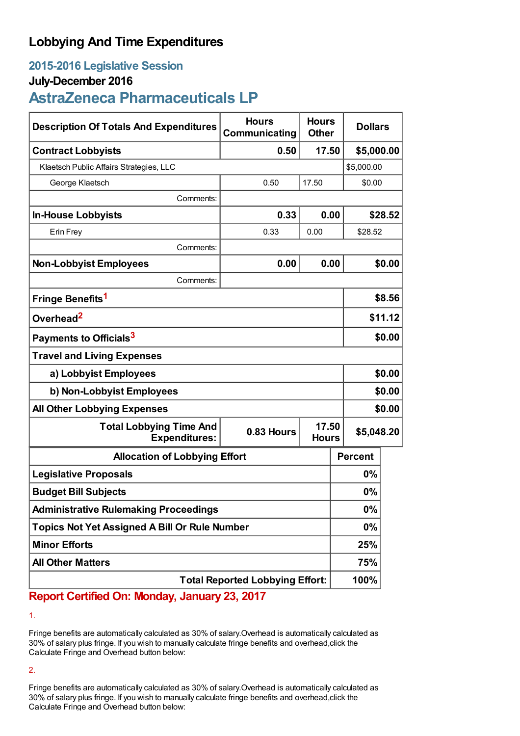## **Lobbying And Time Expenditures**

## **2015-2016 Legislative Session**

### **July-December 2016**

# **AstraZeneca Pharmaceuticals LP**

| <b>Description Of Totals And Expenditures</b>          | <b>Hours</b><br>Communicating | <b>Hours</b><br><b>Other</b> | <b>Dollars</b> |            |  |
|--------------------------------------------------------|-------------------------------|------------------------------|----------------|------------|--|
| <b>Contract Lobbyists</b>                              | 0.50                          | 17.50                        | \$5,000.00     |            |  |
| Klaetsch Public Affairs Strategies, LLC                |                               |                              |                | \$5,000.00 |  |
| George Klaetsch                                        | 0.50                          | 17.50                        | \$0.00         |            |  |
| Comments:                                              |                               |                              |                |            |  |
| <b>In-House Lobbyists</b>                              | 0.33                          | 0.00                         |                | \$28.52    |  |
| Erin Frey                                              | 0.33                          | 0.00                         | \$28.52        |            |  |
| Comments:                                              |                               |                              |                |            |  |
| <b>Non-Lobbyist Employees</b>                          | 0.00                          | 0.00                         |                | \$0.00     |  |
| Comments:                                              |                               |                              |                |            |  |
| Fringe Benefits <sup>1</sup>                           |                               |                              |                | \$8.56     |  |
| Overhead <sup>2</sup>                                  |                               |                              |                | \$11.12    |  |
| Payments to Officials <sup>3</sup>                     |                               |                              |                | \$0.00     |  |
| <b>Travel and Living Expenses</b>                      |                               |                              |                |            |  |
| a) Lobbyist Employees                                  |                               |                              |                | \$0.00     |  |
| b) Non-Lobbyist Employees                              |                               |                              |                | \$0.00     |  |
| <b>All Other Lobbying Expenses</b>                     |                               |                              |                | \$0.00     |  |
| <b>Total Lobbying Time And</b><br><b>Expenditures:</b> | 0.83 Hours                    | 17.50<br><b>Hours</b>        | \$5,048.20     |            |  |
| <b>Allocation of Lobbying Effort</b>                   |                               |                              | <b>Percent</b> |            |  |
| <b>Legislative Proposals</b>                           |                               |                              | $0\%$          |            |  |
| <b>Budget Bill Subjects</b>                            |                               |                              | 0%             |            |  |
| <b>Administrative Rulemaking Proceedings</b>           |                               |                              | 0%             |            |  |
| <b>Topics Not Yet Assigned A Bill Or Rule Number</b>   |                               |                              | $0\%$          |            |  |
| <b>Minor Efforts</b>                                   |                               |                              | 25%            |            |  |
| <b>All Other Matters</b>                               |                               |                              | 75%            |            |  |
| <b>Total Reported Lobbying Effort:</b>                 |                               |                              | 100%           |            |  |

**Report Certified On: Monday, January 23, 2017**

1.

Fringe benefits are automatically calculated as 30% of salary.Overhead is automatically calculated as 30% of salary plus fringe. If you wish to manually calculate fringe benefits and overhead,click the Calculate Fringe and Overhead button below:

2.

Fringe benefits are automatically calculated as 30% of salary.Overhead is automatically calculated as 30% of salary plus fringe. If you wish to manually calculate fringe benefits and overhead,click the Calculate Fringe and Overhead button below: